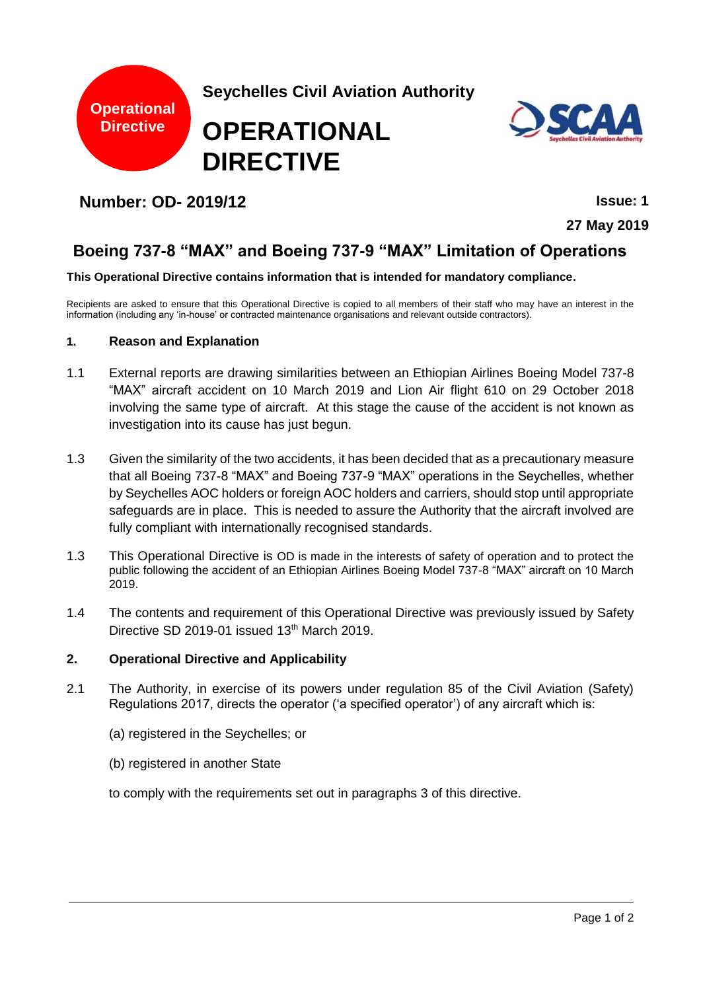



**27 May 2019**

# **Boeing 737-8 "MAX" and Boeing 737-9 "MAX" Limitation of Operations**

#### **This Operational Directive contains information that is intended for mandatory compliance.**

Recipients are asked to ensure that this Operational Directive is copied to all members of their staff who may have an interest in the information (including any 'in-house' or contracted maintenance organisations and relevant outside contractors).

#### **1. Reason and Explanation**

- 1.1 External reports are drawing similarities between an Ethiopian Airlines Boeing Model 737-8 "MAX" aircraft accident on 10 March 2019 and Lion Air flight 610 on 29 October 2018 involving the same type of aircraft. At this stage the cause of the accident is not known as investigation into its cause has just begun.
- 1.3 Given the similarity of the two accidents, it has been decided that as a precautionary measure that all Boeing 737-8 "MAX" and Boeing 737-9 "MAX" operations in the Seychelles, whether by Seychelles AOC holders or foreign AOC holders and carriers, should stop until appropriate safeguards are in place. This is needed to assure the Authority that the aircraft involved are fully compliant with internationally recognised standards.
- 1.3 This Operational Directive is OD is made in the interests of safety of operation and to protect the public following the accident of an Ethiopian Airlines Boeing Model 737-8 "MAX" aircraft on 10 March 2019.
- 1.4 The contents and requirement of this Operational Directive was previously issued by Safety Directive SD 2019-01 issued  $13<sup>th</sup>$  March 2019.

#### **2. Operational Directive and Applicability**

- 2.1 The Authority, in exercise of its powers under regulation 85 of the Civil Aviation (Safety) Regulations 2017, directs the operator ('a specified operator') of any aircraft which is:
	- (a) registered in the Seychelles; or
	- (b) registered in another State

to comply with the requirements set out in paragraphs 3 of this directive.